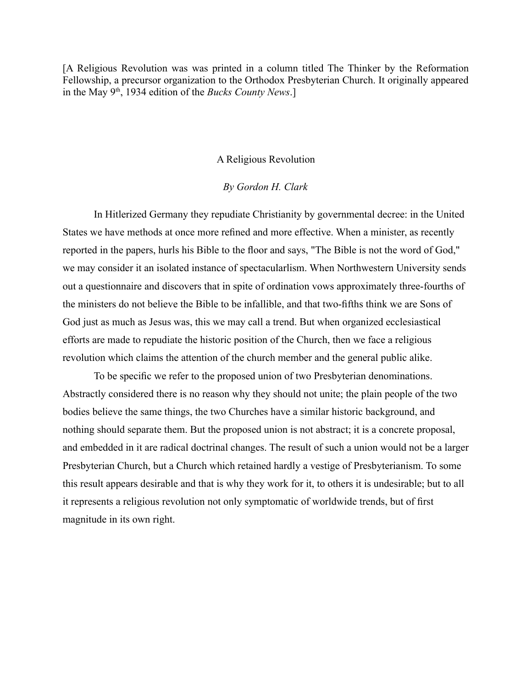[A Religious Revolution was was printed in a column titled The Thinker by the Reformation Fellowship, a precursor organization to the Orthodox Presbyterian Church. It originally appeared in the May 9th, 1934 edition of the *Bucks County News*.]

## A Religious Revolution

## *By Gordon H. Clark*

In Hitlerized Germany they repudiate Christianity by governmental decree: in the United States we have methods at once more refined and more effective. When a minister, as recently reported in the papers, hurls his Bible to the floor and says, "The Bible is not the word of God," we may consider it an isolated instance of spectacularlism. When Northwestern University sends out a questionnaire and discovers that in spite of ordination vows approximately three-fourths of the ministers do not believe the Bible to be infallible, and that two-fifths think we are Sons of God just as much as Jesus was, this we may call a trend. But when organized ecclesiastical efforts are made to repudiate the historic position of the Church, then we face a religious revolution which claims the attention of the church member and the general public alike.

To be specific we refer to the proposed union of two Presbyterian denominations. Abstractly considered there is no reason why they should not unite; the plain people of the two bodies believe the same things, the two Churches have a similar historic background, and nothing should separate them. But the proposed union is not abstract; it is a concrete proposal, and embedded in it are radical doctrinal changes. The result of such a union would not be a larger Presbyterian Church, but a Church which retained hardly a vestige of Presbyterianism. To some this result appears desirable and that is why they work for it, to others it is undesirable; but to all it represents a religious revolution not only symptomatic of worldwide trends, but of first magnitude in its own right.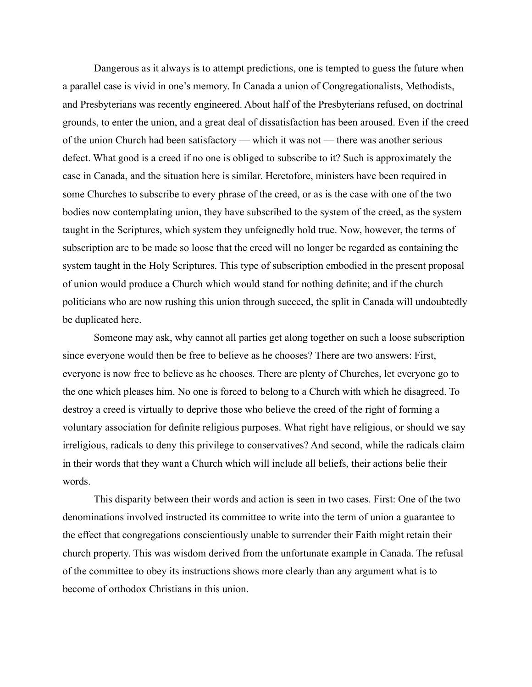Dangerous as it always is to attempt predictions, one is tempted to guess the future when a parallel case is vivid in one's memory. In Canada a union of Congregationalists, Methodists, and Presbyterians was recently engineered. About half of the Presbyterians refused, on doctrinal grounds, to enter the union, and a great deal of dissatisfaction has been aroused. Even if the creed of the union Church had been satisfactory — which it was not — there was another serious defect. What good is a creed if no one is obliged to subscribe to it? Such is approximately the case in Canada, and the situation here is similar. Heretofore, ministers have been required in some Churches to subscribe to every phrase of the creed, or as is the case with one of the two bodies now contemplating union, they have subscribed to the system of the creed, as the system taught in the Scriptures, which system they unfeignedly hold true. Now, however, the terms of subscription are to be made so loose that the creed will no longer be regarded as containing the system taught in the Holy Scriptures. This type of subscription embodied in the present proposal of union would produce a Church which would stand for nothing definite; and if the church politicians who are now rushing this union through succeed, the split in Canada will undoubtedly be duplicated here.

Someone may ask, why cannot all parties get along together on such a loose subscription since everyone would then be free to believe as he chooses? There are two answers: First, everyone is now free to believe as he chooses. There are plenty of Churches, let everyone go to the one which pleases him. No one is forced to belong to a Church with which he disagreed. To destroy a creed is virtually to deprive those who believe the creed of the right of forming a voluntary association for definite religious purposes. What right have religious, or should we say irreligious, radicals to deny this privilege to conservatives? And second, while the radicals claim in their words that they want a Church which will include all beliefs, their actions belie their words.

This disparity between their words and action is seen in two cases. First: One of the two denominations involved instructed its committee to write into the term of union a guarantee to the effect that congregations conscientiously unable to surrender their Faith might retain their church property. This was wisdom derived from the unfortunate example in Canada. The refusal of the committee to obey its instructions shows more clearly than any argument what is to become of orthodox Christians in this union.